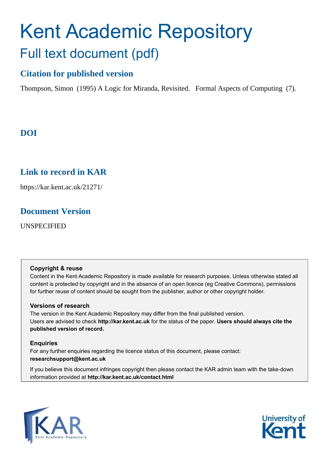# Kent Academic Repository Full text document (pdf)

# **Citation for published version**

Thompson, Simon (1995) A Logic for Miranda, Revisited. Formal Aspects of Computing (7).

# **DOI**

# **Link to record in KAR**

https://kar.kent.ac.uk/21271/

### **Document Version**

UNSPECIFIED

### **Copyright & reuse**

Content in the Kent Academic Repository is made available for research purposes. Unless otherwise stated all content is protected by copyright and in the absence of an open licence (eg Creative Commons), permissions for further reuse of content should be sought from the publisher, author or other copyright holder.

### **Versions of research**

The version in the Kent Academic Repository may differ from the final published version. Users are advised to check **http://kar.kent.ac.uk** for the status of the paper. **Users should always cite the published version of record.**

### **Enquiries**

For any further enquiries regarding the licence status of this document, please contact: **researchsupport@kent.ac.uk**

If you believe this document infringes copyright then please contact the KAR admin team with the take-down information provided at **http://kar.kent.ac.uk/contact.html**



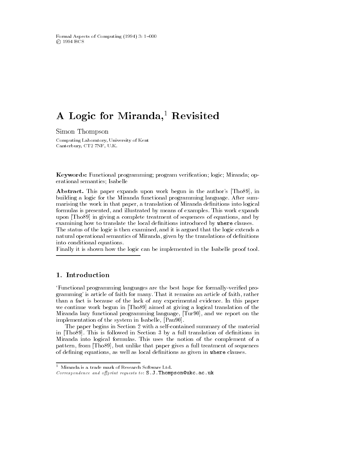Formal Aspects of Computing - @ 1994 BCS

# A Logic for Miranda- Revisited

Simon Thompson

Computing Laboratory, University of Kent Canterbury, CT2 7NF, U.K.

Keywords- Functional programming- program verication- logic- Miranda- op erational semantics- Isabelle

abstract This paper in the authors of the work begun in the authors Thomas Thomas Thomas Thomas Thomas Thomas building a logic for the Miranda functional programming language After sum marising the work in that paper a translation of Miranda denitions into logical formulas is presented and illustrated by means of examples This work expands upon the complete treatment of those complete transferred of the sequences of equations of exceptions of the s examining how to translate the local definitions introduced by where clauses.

The status of the logic is then examined that the logical theoretical that the logical that the logical theoretical the logical theoretical the logical theoretical the logical theoretical the logical theoretical the logic natural operational semantics of Miranda given by the translations of denitions into conditional equations

Finally it is shown how the logic can be implemented in the Isabelle proof tool

Functional programming languages are the best hope for formally-verified programming is article of faith for many That it remains an article of faith for  $\alpha$  article of  $\alpha$ than a fact is because of the lack of any experimental evidence In this paper we continue work begun in [Tho89] aimed at giving a logical translation of the we report functional programming language ( ) can be report on the implementation of the system in Isabelle Pau
 

The paper begins in Section 2 with a self-contained summary of the material in [Tho89]. This is followed in Section 3 by a full translation of definitions in Miranda into logical formulas This uses the notion of the complement of a pattern from Tho but unlike that paper gives a full treatment of sequences of deniming equations, we well we come denimitions we given in unconstruction

 $\,$  - Miranda is a trade mark of Research Software Ltd.

Correspondence and o-print requests to S-J-Thompsonukc-ac-uk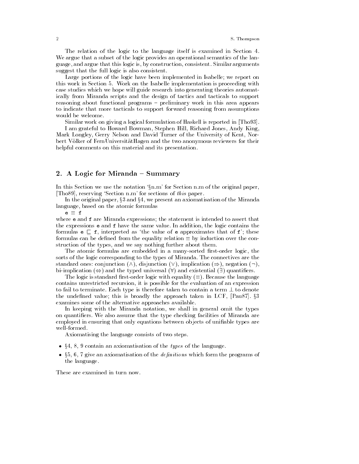The relation of the logic to the language itself is examined in Section 4. We argue that a subset of the logic provides an operational semantics of the lan and argue that the construction  $\mathcal{A}$  is an interesting that the construction  $\mathcal{A}$  are construction suggest that the full logic is also consistent

Large portions of the logic have been implemented in Isabelle- we report on this work in Section 5. Work on the Isabelle implementation is proceeding with case studies which we hope will guide research into generating theories automat ically from Miranda scripts and the design of tactics and tacticals to support reasoning about functional programs - preliminary work in this area appears to indicate that more tacticals to support forward reasoning from assumptions would be welcome

Similar work on giving a logical formulation of Haskell is reported in [Tho93].

I am grateful to Howard Bowman Stephen Hill Richard Jones Andy King Mark Longley Gerry Nelson and David Turner of the University of Kent Nor bert Völker of FernUniversitätHagen and the two anonymous reviewers for their helpful comments on this material and its presentation.

#### - A Logic for Miranda Summary

In this Section we use the notation  $\S$ n.m' for Section n.m of the original paper, , which is a reserved to section and the section are comedy to the section of the section of the section of the

In the original paper x and x we present an axiomatisation of the Miranda language based on the atomic formulas

where e and f are miranda inpersonation, the statement is intended to assert that the expressions <sup>e</sup> and <sup>f</sup> have the same value In addition the logic contains the formulas <sup>e</sup> <sup>v</sup> <sup>f</sup> interpreted as the value of <sup>e</sup> approximates that of f- these formulas can be dened from the equality relation - by induction over the con struction of the types, which we say nothing further as an interest

The atomic formulas are embedded in a manysorted rstorder logic the sorts of the logic corresponding to the types of Miranda The connectives are the standard ones conjunction (1911 and another (1911 and partners (1911 and district (1911) bi-implication  $(\Leftrightarrow)$  and the typed universal  $(\forall)$  and existential  $(\exists)$  quantifiers.

<u>the logic is standard reduceded registations in the language the language</u> contains unrestricted records unrestricted records and evaluation of an expression of an expression of an expression to fail to terminate Each type is therefore there to contain a term  $\equiv$  to denote the underly the approach the approach in LCF and the approach the approach the approach in LCF. examines some of the alternative approaches available

In keeping with the Miranda notation we shall in general omit the types on quantifiers. We also assume that the type checking facilities of Miranda are employed in ensuring that only equations between objects of unifiable types are well-formed.

Axiomatising the language consists of two steps

- where the two contains of the two contains of the types of the theorems of the two contains  $\mathcal{A}$
- x give an axiomatisation of the de-nitions which form the programs of the language

These are examined in turn now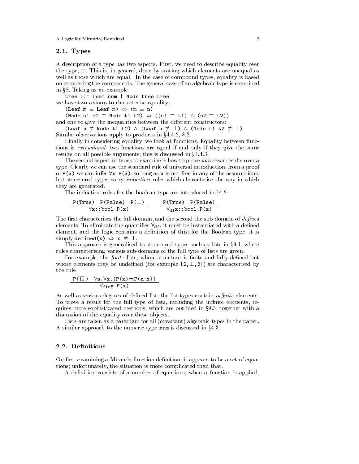#### -- Types

A description of a type has two aspects First we need to describe equality over the type  $\equiv$  the station of the problems which elements are under the stating which elements are under well as those which are equal In the case of compound types of compound types of compound types of compound types on comparing the components The general case of an algebraic type is examined in §8. Taking as an example

tree ::= Leaf num | Node tree tree

we have two axioms to characterise equality

 $\lambda$  -  $\lambda$  m -  $\lambda$  -  $\lambda$  -  $\lambda$  -  $\lambda$  -  $\lambda$  -  $\lambda$  -  $\lambda$  -  $\lambda$  -  $\lambda$  -  $\lambda$  -  $\lambda$  -  $\lambda$  -  $\lambda$  -  $\lambda$  -  $\lambda$  -  $\lambda$  -  $\lambda$  -  $\lambda$  -  $\lambda$  -  $\lambda$  -  $\lambda$  -  $\lambda$  -  $\lambda$  -  $\lambda$  -  $\lambda$  -  $\lambda$  -  $\lambda$  -  $\lambda$  -  $\lambda$  -  $\$ 

Node <sup>s</sup> <sup>s</sup> - Node <sup>t</sup> <sup>t</sup> s - t s - <sup>t</sup>

and one to give the inequalities between the different constructors:

Leaf <sup>n</sup> - Node <sup>t</sup> <sup>t</sup> Leaf <sup>n</sup> - Node <sup>t</sup> <sup>t</sup> - Similar observations apply to products in x

Finally in considering equality we look at functions Equality between func tions is *extensional*: two functions are equal if and only if they give the same results on all possible arguments- this is discussed in x

The second aspect of types to examine is how to prove universal results over a type. Clearly we can use the standard rule of universal introduction: from a proof of Px we can infer x-Px so long as <sup>x</sup> is not free in any of the assumptions but structured types carry induction rules which characterise the way in which they are generated

The induction rules for the boolean type are introduced in  $\S 4.2$ .

$$
\frac{P(True) P(False) P(\bot)}{\forall x::bool.P(x)} \qquad \frac{P(True) P(False)}{\forall_{df}x::bool.P(x)}
$$

The rst characterises the full domain and the second the subdomain of de-ned elements To eliminate the quantier df it must be instantiated with a dened element and the logic contains a denition of the Boolean type of the Boolean type of the Boolean type of the Boolean simply defined as  $\lambda = \lambda$  and  $\lambda = \lambda$ 

This approach is generalised to structured types such as lists in x where rules characterising various sub-domains of the full type of lists are given.

For example the -nite lists whose structure is nite and fully dened but whose elements may be understanding for example, we have a characterised by the state of the state of the state of the state of the state of the state of the state of the state of the state of the state of the state of the the rule

$$
\frac{P([1) \quad \forall a. \forall x. (P(x) \Rightarrow P(a:x))}{\forall_{fin} x. P(x)}
$$

as well as various degrees of dened list the list types contained injuries the street To prove a result for the full type of lists including the innite elements re quires more sophisticated methods with areas with are continued in questions are an discussion of the equality over these objects

Lists are taken as a paradigm for all (covariant) algebraic types in the paper. A similar approach to the numeric type num is discussed in  $\S 4.3$ .

#### 2.2. Definitions

on record the miranda function of the miranda function of the appears to be a set of equal to be a set of equal tions-dimensions-dimensions-dimensions-dimensions-dimensions-dimensional  $\mathbf{u}$ 

a denimitive consists of a manuscule of equations, where a function is applied  $\mathcal{P}$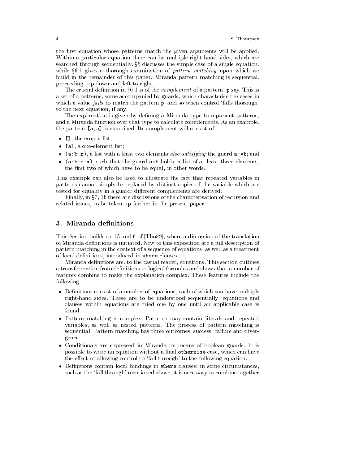the first equation whose patterns match the given arguments will be applied. with a particular equation there can be multiple right. Which sides are multiple searched through sequentially x discusses the simple case of a single equation while  $§6.1$  gives a thorough examination of pattern matching upon which we build in the remainder of this paper. Miranda pattern matching is sequential, proceeding top-down and left to right.

The crucial denition in your to or the complement or a pattern proof. This is a set of a patterns accompanied by guards in  $\alpha$  ,  $\beta$  and  $\alpha$  in the cases in the cases in the cases in which a fails fails to match the pattern p and so when control fails thorough to the next equation is a set of the next equation of the next equation is a set of the next equation of the n

The explanation is given by dening a Miranda type to represent patterns and a miricanda function over the that type to calculate complements as an example  $\sim$ the pattern  $[a, a]$  is examined. Its complement will consist of

- the empty list of the empty listed and the empty list of the empty listed and the empty listed and the empty l
- a one a one a conservative control
- . (a.b.m.), a list with a least two elements also satisfying the guard a b, and
- abcard that the such that  $\alpha$  is the guard above elements through the such that the such that  $\alpha$ the rst two of which have to be equal to be equal to be equal to be equal to be equal to be equal to be equal to be equal to be equal to be equal to be equal to be equal to be equal to be equal to be equal to be equal to

This example can also be used to illustrate the fact that repeated variables in patterns cannot simply be replaced by distinct copies of the variable which are tested for equality in a guard: different complements are derived.

Finally in x 
 there are discussions of the characterisation of recursion and related issues to the control species to the the present paper.

#### 3. Miranda definitions

This Section builds on a discussion of the translation of the translation of the translation of the translation of Miranda definitions is initiated. New to this exposition are a full description of pattern matching in the context of a sequence of equations as well as a treatment <u> introduced in where in which is not an analysis of</u>

Miranda denitions are to the casual reader equations This section outlines a transformation from definitions to logical formulas and shows that a number of features combine to make the explanation complex These features include the following

- e consistent consist of a number of an equationship cater of which can have multiples right-hand sides. These are to be understood sequentially: equations and clauses within equations are tried one by one until an applicable case is found.
- Pattern matching is complex. Patterns may contain literals and repeated variables as well as matching patterns the patterns of patterns matching is sequential Pattern matching has three outcomes success failure and diver gence
- Conditionals are expressed in Miranda by means of boolean guards It is possible to write an equation without a nal otherwise case which can have the effect of allowing control to 'fall through' to the following equation.
- Denitions contain local bindings in where clauses- in some circumstances such as the case internally mentioned above to combine to combine to gether.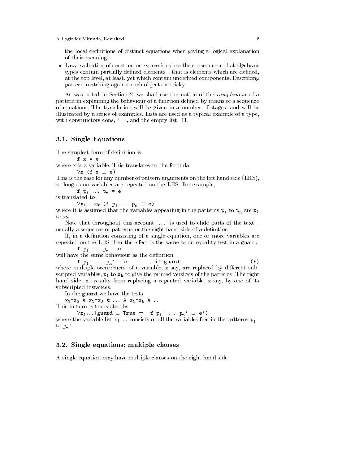the local definitions of distinct equations when giving a logical explanation of their meaning

 Lazy evaluation of constructor expressions has the consequence that algebraic types contain partially defined elements – that is elements which are defined, at the top level at least yet which contain undened components Describing pattern matching against such objects is tricky

... was noted in Section of the complete into the noted in the complement of a pattern in explaining the behaviour of a function defined by means of a sequence of equations The translations The translation will be given in a number of stages  $\mathbf{a}$ illustrated by a series of examples Lists are used as a typical example of a type with constructors construct the empty mother.

#### -- Single Equations

The simplest form of definition is

x-f <sup>x</sup> - e

 $\sim$   $\sim$ 

where <sup>x</sup> is a variable This translates to the formula

This is the case for any number of pattern arguments on the left hand side (LHS). so long as no variables are repeated on the LHS. For example,

+ 1 pm + 1 pm + 1 pm + 1 pm + 1 pm + 1 pm + 1 pm + 1 pm + 1 pm + 1 pm + 1 pm + 1 pm + 1 pm + 1 pm + 1 pm + 1 pm is translated to

 $x_1, \ldots, x_n, x_n \in \mathbb{F}^1$  for  $\mathbb{F}^1$ where it is assumed that the variables appearing in the patterns  $\mathbf{r}_1$  to  $\mathbf{r}_n$  are  $\mathbf{r}_1$ to  $x_k$ 

Note that throughout this account  $\ldots$  is used to elide parts of the text usually a sequence of patterns or the right hand side of a definition.

If in a denition consisting of a single equation one or more variables are repeated on the LHS then the effect is the same as an equality test in a guard.

f p- <sup>p</sup> <sup>n</sup> e

will have the same behaviour as the definition - pi in part = 0.000 = 0.000 = 0.000 = 0.000 = 0.000 = 0.000 = 0.000 = 0.000 = 0.000 = 0.000 = 0.000 = 0.000 = where manuple occurrences of a variable, **x** say, are replaced by different subscripted variables,  $\cdot$ , to  $\cdot$ , to give the primed versions of the patterns. The right hand side, **c** results from replacing a repeated variable, **x** say, by one of fes subscripted instances

In the guard we have the tests

 $x_1$  is a set of  $x_1$  in  $x_2$ 

This in turn is translated by

x- guard - True f p- <sup>p</sup> n - e

where the variable list  $\blacksquare$  in consists of all the variables free in the patterns p- $\cdot$  rn  $\cdot$ 

#### -- Single equations multiple clauses

A single equation may have multiple clauses on the right-hand side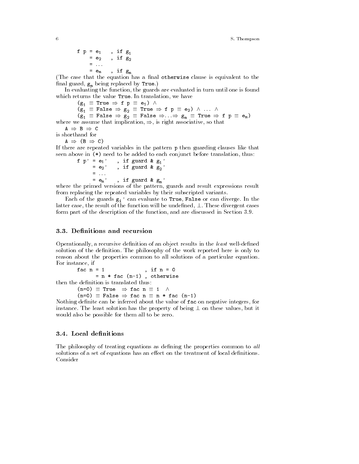$$
\begin{array}{rcl}\n\text{f} & p = e_1 & , \text{ if } g_1 \\
& = e_2 & , \text{ if } g_2 \\
& = \dots \\
& = e_n & , \text{ if } g_n\n\end{array}
$$

The case that the equation has <sup>a</sup> nal otherwise clause is equivalent to the  $\lim_{\alpha \to \infty}$  gn being replaced by  $\lim_{\alpha \to \infty}$ 

In a corporating the function of the guards are the corporation of the second in the second in the definition which returns the value True In translation we have

 $\mathcal{L}_{\mathbf{Q}_1}$  is a series of property in the property of  $\mathcal{L}_{\mathbf{Q}_1}$ 

 $\mathbf{e}_{1}$  -  $\mathbf{e}_{2}$  -  $\mathbf{e}_{3}$  -  $\mathbf{e}_{4}$  -  $\mathbf{f}_{1}$  -  $\mathbf{f}_{2}$  ,  $\mathbf{f}_{3}$  and  $\mathbf{f}_{4}$ 

 $\frac{1}{2}$  -  $\frac{1}{2}$  -  $\frac{1}{2}$  -  $\frac{1}{2}$  -  $\frac{1}{2}$  -  $\frac{1}{2}$  -  $\frac{1}{2}$  -  $\frac{1}{2}$  -  $\frac{1}{2}$  -  $\frac{1}{2}$  -  $\frac{1}{2}$  -  $\frac{1}{2}$  $\cdots$  is  $\cdots$  assumed that implication  $\cdots$  is in iterative associative to that

 $A \Rightarrow B \Rightarrow C$ 

is shorthand for

 $A \Rightarrow (B \Rightarrow C)$ If there are repeated variables in the pattern p then guarding clauses like that seen above in 111 in 1200 in 1200 and the address to each complete translation to the conjunction of the conju

> f p e-  if guard g e in die die stelling van die 1de eeu n.C. is die 1de eeu n.C. en die 1de eeu n.C. en die 1de eeu n.C. en die 1<br>Gebeure van die 1de eeu n.C. en die 1de eeu n.C. en die 1de eeu n.C. en die 1de eeu n.C. en die 1de eeu n.C. e  $=$   $\sim$   $\sim$   $\sim$ en in die ook die ook die word is die 14d weke en in die 1ste jan van die 1ste jan van die 1ste jan van die 1s<br>Geboort is die 1ste jaar van die 1ste januarie en in 1ste jan van die 1ste januarie 1ste jan 1ste jan 1ste jan

where the primed versions of the pattern completed where the patterns and the patterns result and results result from replacing the repeated variables by their subscripted variants

Each of the guards gi can evaluate to True False or can diverge In the result case, the result of the runction will be undenlied,  $\pm$ ,  $\pm$  hele arrespent cases form part of the description of the function and are discussed in Section

their the definition is translated thus.

opperations in the least results in the least results in the least report of a result in the contraction of th solution of the denition The philosophy of the moth reported here is only to reason about the properties common to all solutions of <sup>a</sup> particular equation r or instance, in

**facture in the contract of the contract of the contract of the contract of the contract of the contract of the**  $\mathbf{r}$  factor  $\mathbf{r}$  and  $\mathbf{r}$  and  $\mathbf{r}$  and  $\mathbf{r}$  and  $\mathbf{r}$  and  $\mathbf{r}$ 

n - True fac n - 

n - False fac n - n fac n . I denite denite of the model of the value of the value of faction of factors in the value of  $\alpha$ instance I has least solution has the property of being in these values, but it would also be possible for them all to be fero.

The philosophy of treating equations as dening the properties common to al l solutions of a set of equations has an effect on the treatment of local definitions. Consider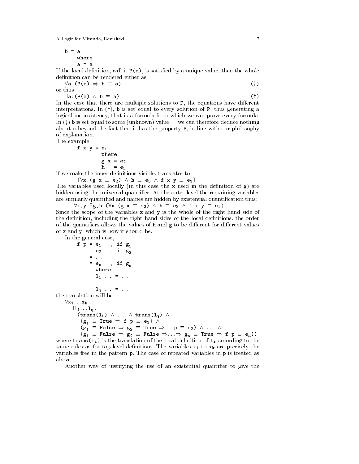A Logic for Miranda, Revisited 7

 $b = a$ where

is the local denimition, can it I (w), it catalog by a unique value, then the whole definition can be rendered either as

 $\cdots$  . . . . . .  $\cdots$ a ya ya wakati wa mshindi wa 1972, wakazi wa 1972, wakazi wa 1972, wakazi wa wakazi wa 1972, wakazi wa 1972, w

or thus

 a-Pa <sup>b</sup> a za za za  $\alpha$  za  $\alpha$ 

In the case that there are multiple solutions to P the equations have dierent interpretations, in (1), who set equal to every solution of P thus generating a logical inconsistency that is a formula from which we can prove every formula In  $(\ddagger)$  b is set equal to some (unknown) value — we can therefore deduce nothing about <sup>a</sup> beyond the fact that it has the property P in line with our philosophy of explanation

The example

$$
f x y = e_1
$$
  
where  

$$
g x = e_2
$$
  

$$
h = e_3
$$

if we make the inner denitions visible translates to

 $x_1, \ldots, x_n, y_n, \ldots, y_n, y_n, \ldots, y_n, y_n, \ldots, y_n, y_n, \ldots, y_n, y_n, \ldots, y_n, y_n, \ldots, y_n, y_n, \ldots, y_n, y_n, \ldots, y_n, y_n, \ldots, y_n, y_n, \ldots, y_n, y_n, \ldots, y_n, y_n, \ldots, y_n, y_n, \ldots, y_n, y_n, \ldots, y_n, y_n, \ldots, y_n, y_n, \ldots, y_n, y_n, \ldots, y_n, y_n, \ldots, y_n, y_n, \ldots, y_n, y_n, \ldots, y_n, y_n, \ldots, y_n$ The variables used locally (in this case the x used in the definition of  $g$ ) are hidden using the universal quantifier. At the outer level the remaining variables are similarly quantified and names are hidden by existential quantification thus:

 $x + y + z = 0$ Since the scope of the variables <sup>x</sup> and <sup>y</sup> is the whole of the right hand side of the denition including the right hand sides of the local denitions the order of the quantifiers allows the values of h and g to be different for different values of **x** what yet minon no now it should be.

```
In the general case

                          - i 'i 'i ol
                                         = e_2 , if g_2 
                                        = e_n, if g_n\cdots where \cdotsl-

                                                \sim 1001_q ... = ...
the translation will be
           x \mathbf{r} x \mathbf{r} x \mathbf{r}--1 - J
                          \tau . The same \tau is the second \tau and \tau\begin{array}{rcl} \n\sqrt{61} & = & \text{if } \mathbf{c} \quad \text{if } \mathbf{c} \quad \text{if } \mathbf{c} \quad \text{if } \mathbf{c} \quad \text{if } \mathbf{c} \quad \text{if } \mathbf{c} \quad \text{if } \mathbf{c} \quad \text{if } \mathbf{c} \quad \text{if } \mathbf{c} \quad \text{if } \mathbf{c} \quad \text{if } \mathbf{c} \quad \text{if } \mathbf{c} \quad \text{if } \mathbf{c} \quad \text{if } \mathbf{c} \quad \text{if } \mathbf{c} \quad \text\frac{1}{2} = \frac{1}{2} = \frac{1}{2} = \frac{1}{2} = \frac{1}{2} = \frac{1}{2} = \frac{1}{2} = \frac{1}{2} = \frac{1}{2} = \frac{1}{2}\frac{1}{2} - \frac{1}{2} - \frac{1}{2} - \frac{1}{2} - \frac{1}{2} - \frac{1}{2} - \frac{1}{2} - \frac{1}{2} - \frac{1}{2} - \frac{1}{2} - \frac{1}{2} - \frac{1}{2} - \frac{1}{2} - \frac{1}{2} - \frac{1}{2} - \frac{1}{2} - \frac{1}{2} - \frac{1}{2} - \frac{1
```
where  $trans(1<sub>i</sub>)$  is the translation of the local definition of  $1<sub>i</sub>$  according to the same rules as for top is tol usinitions. The valiables  $\mathbf{r}_1$  to  $\mathbf{r}_k$  are precisely the variables free in the pattern p. The case of repeated variables in p is treated as above.

Another way of justifying the use of an existential quantifier to give the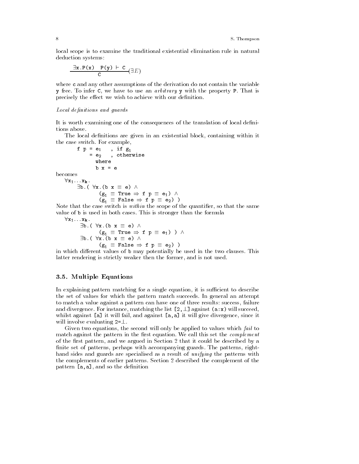local scope is to examine the traditional existential elimination rule in natural deduction systems

$$
\frac{\exists x. P(x) \quad P(y) \vdash c}{c} (\exists E)
$$

where c and where any other assumptions of the derivations of the state of the variable contains the variable y free To inferred wy have to use and when when y y with the property P That is the property P That is the property precisely the eect we wish to achieve with our denition

#### Local de-nitions and guards

It is grown examining one of the composition of the consequence of the the the translation of the the consequence tions above

The local denitions are given in an existential block of the containing with the containing with the containing the containing the containing the containing the containing the containing the containing the containing the c the case switch. For example,

$$
\begin{array}{rcl}\n\text{f} & p & = & e_1 \quad , \text{ if } g_1 \\
& = & e_2 \quad , \text{ otherwise} \\
\text{where} \\
\text{b } x & = & e \\
\text{becomes} \\
\forall x_1 \dots x_k. \\
\exists b. \left( \begin{array}{cc}\n\forall x. \left( b \quad x \equiv e \right) \land \\
\left( g_1 \equiv \text{True} \Rightarrow f \quad p \equiv e_1 \right) \land \\
\left( g_1 \equiv \text{False} \Rightarrow f \quad p \equiv e_2 \right) \end{array} \right)\n\end{array}
$$

that the state that the state is within the state scope of the state department of the state the state of value of <sup>b</sup> is used in both cases This is stronger than the formula

x- xk-

$$
\exists b. (\forall x. (b x \equiv e) \land (g1 \equiv True \Rightarrow f p \equiv e1) ) \land \exists b. (\forall x. (b x \equiv e) \land (g1 \equiv False \Rightarrow f p \equiv e2) )
$$

in which dierent values of b manually be used in the use of two class of the two clauses the two class latter rendering is strictly weaker then the former and is not used

#### -- Multiple Equations

In explaining pattern matching for a single equation, it is sumerche to describe the set of the set in the state which pattern manufacture which an attempt which will all the pattern of to matchaval can have a pattern can have one of the pattern can have a pattern can have result successions of and divergence. For instance, matching the met  $\frac{1}{2}$  against (with  $\frac{1}{2}$  will succeed whilst against the it will fail and a collect and arrived the since of the again and all contracts are the since the  $\cdots$  in the evaluation of  $\cdots$ 

give the second will only the second the will be applied to the applied the two values will to match against the pattern in the rst equation We call this set the complement of the inter pattern and we have a complete the contract to an and we are allowed by a contract of the could b nite set of patterns perhaps with accompanying guards The patterns right hand sides and guards are specialised as a result of unifying the patterns with the complements of earlier patterns. Section 2 described the complement of the pattern and will come the three contracts of the denities of the denities of the denities of the denities of the denial of the denial of the denial of the denial of the denial of the denial of the denial of the denial of t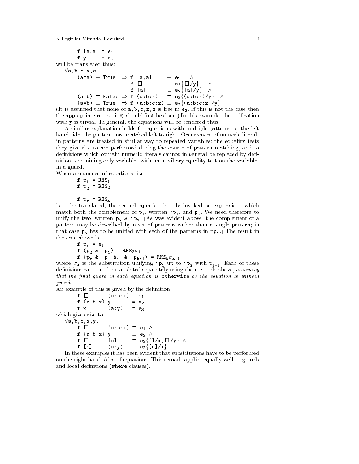A Logic for Miranda Revisited

f  $[a, a] = e_1$ f  $y = e_2$ will be translated thus  $\forall \texttt{a}, \texttt{b}, \texttt{c}, \texttt{x}, \texttt{z}$  .  $(a=a) \equiv$  True  $\Rightarrow$  f [a,a] e $_1$   $\land$  $f$   $\lbrack$  $\equiv e_2\{[1/y\}$   $\wedge$ f [a]  $\equiv e_2\{[a]/y\}$   $\wedge$  $(a=b) \equiv$  False  $\Rightarrow$  f  $(a:b:x)$  =  $e_2\{(a:b:x)/y\}$   $\wedge$  $(a=b) \equiv True \Rightarrow f (a:b:c:z) \equiv e_2 \{(a:b:c:z)/y\}$ 

(It is assumed that none of  $a, b, c, x, z$  is free in  $e_2$ . If this is not the case then the appropriate renamings should rst be done In this example the unication with y is trivial in gineally the requestions will rendered thus will

A similar explanation holds for equations with multiple patterns on the left hand side: the patterns are matched left to right. Occurrences of numeric literals in patterns are treated in similar way to repeated variables: the equality tests they give rise to are performed during the course of pattern matching and so definitions which contain numeric literals cannot in general be replaced by definitions containing only variables with an auxiliary equality test on the variables in a guard

When a sequence of equations like

f p- RHS  $f$   $p_2$  = RHS<sub>2</sub> ---f  $p_k$  = RHS<sub>k</sub>

is to be translated the second equation is only invoked on expressions which match both the complement of  ${\bf r}_1$  , written  ${\bf r}_1$  , written probability of the complete to written problems provided a  $\mathbf{r}_2$  with  $\mathbf{r}_1$  , (the complement of above) can complement of a pattern may be described by a set of patterns rather than a single pattern- in that the p $\mathbf{r}_2$  and the patterns in patterns in patterns in patterns in  $\mathbf{r}_1$  , and the patterns in the case above is

f p- e f p p- RHS-- $\mathbf{r}$   $\mathbf{r}$   $\mathbf{r}$   $\mathbf{r}$   $\mathbf{r}$   $\mathbf{r}$   $\mathbf{r}$   $\mathbf{r}$   $\mathbf{r}$   $\mathbf{r}$   $\mathbf{r}$   $\mathbf{r}$   $\mathbf{r}$   $\mathbf{r}$   $\mathbf{r}$   $\mathbf{r}$   $\mathbf{r}$   $\mathbf{r}$   $\mathbf{r}$   $\mathbf{r}$   $\mathbf{r}$   $\mathbf{r}$   $\mathbf{r}$   $\mathbf{r}$ 

where  $\frac{1}{2}$  is the substitution unifying p  $\frac{1}{2}$  ap to p  $\frac{1}{2}$  with  $\frac{1}{2}$  =  $\frac{1}{2}$ assimitions can then be translated separately using the methods above who were a that the Innar dania in each communication is **created in the c**ommunication is without guards

An example of this is given by the definition

f  $[]$   $(a:b:x) = e_1$  $f (a:b:x) y = e_2$ f x  $( a : y ) = e_3$ which gives rise to  $\forall$ a,b,c,x,v. f []  $\qquad \qquad$  (a:b:x)  $\equiv$  e<sub>1</sub>  $\wedge$  $f$   $(a:b:x)$  y  $\equiv$  e<sub>2</sub>  $\land$ f  $\begin{bmatrix} 1 & 1 \end{bmatrix}$  $\equiv$  e<sub>3</sub>{[]/x,[]/y}  $\wedge$ f [c]  $(a:y) \equiv e_3\{[c]/x\}$ 

In these examples it has been evident that substitutions have to be performed on the right hand sides of equations This remark applies equally well to guards and local definitions (where clauses).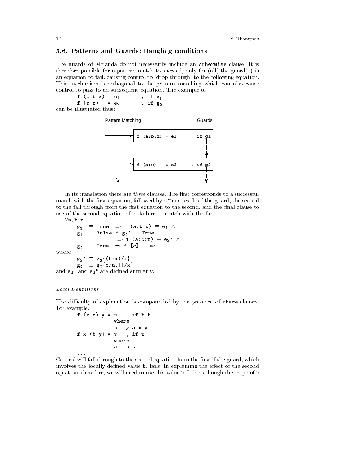#### - - Patterns and Guards Dangling conditions

The guards of Miranda do not necessarily include an otherwise clause It is there a pattern matched to the guard matched to succeed a pattern matched was all the guards in the succeeding an equation to fail causing control to arep through to the following equation. This mechanism is orthogonal to the pattern matching which can also cause control to pass to an subsequent equation The example of

$$
\begin{array}{rcl}\nf & (a:b:X) = e_1 & , if g_1 \\
f & (a:x) = e_2 & , if g_2 \\
\end{array}
$$

can be increased that



In its translation there are the rate clause are the results to a successful and results to a successful and match with the met columniant rollowed by a True result of the guard-tecentru to the fall through the fall the the second columniation to the second with the second the second to use of the second equation after failure to match with the most

 $\forall a, b, x.$  $g<sub>1</sub>$  $\equiv$  True  $\Rightarrow$  f (a:b:x)  $\equiv$  e<sub>1</sub>  $\wedge$  $\sigma$ 

$$
g_1 \equiv \text{False} \land g_2' \equiv \text{True}
$$
  
\n
$$
\Rightarrow f (a:b:x) \equiv e_2' \land g_2'' \equiv \text{True} \Rightarrow f [c] \equiv e_2''
$$

where

$$
g_2' \equiv g_2 \{ (b:x)/x \}
$$
  
\n
$$
g_2'' \equiv g_2 \{ c/a, [1/x] \}
$$

and  $\mathcal{L}_2$  and  $\mathcal{L}_2$  are defined similarly.

#### Local De-nitions

---

The distribution is a presence of the possess of the presence of the presence of where  $\alpha$  and the presence of  $\sim$  . example,

f ax <sup>y</sup> <sup>u</sup>  if h b  $m + c - c$  $b = g a x y$ f <sup>x</sup> by <sup>v</sup>  if w  $\cdots$  where  $\cdots$  $a = s t$ 

control will fall through the second second to the second through the second through the second the results in involves the locality density density and the explanation of the explaining the second of the second of equations there exists it is the scope of the scope thing will be the scope of the scope of the scope of the s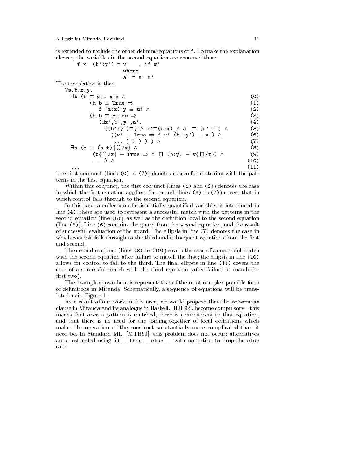is extended to include the other defining equations of f. To make the explanation clearers, the clearers in the second equation are renamed thus the second



The first conjunct (lines  $(0)$  to  $(7)$ ) denotes successful matching with the patterns in the first equation.

 $t$ , the ring conjunct, the met conjunct (integrated  $\langle \bullet \rangle$  and  $\langle \bullet \rangle$  activities the case in which the first equation applies, the second (fines  $\langle \bullet \rangle$  to  $\langle \cdot \rangle$ ) covers that in which control falls through to the second equation.

In this case a collection of existentially quantied variables is introduced in line  $\{ \bullet \}$  , and to the used to represent a successful middle are patterns in the  $\sim$  cond equation (into  $\langle \bullet \rangle$  )) as well as the denition local to the second equation  $\{ \bullet \}$  , and  $\{ \bullet \}$  contains the guard from the second equation, and for the of successful evaluation of the guard. The ellipsis in line (7) denotes the case in which controls falls through to the third and subsequent equations from the first and second

The second conjunct (lines  $(8)$  to  $(10)$ ) covers the case of a successful match with the second equation after failure to match the most the simplified in line (sv) allows for control to fall to the third. The final ellipsis in line  $(11)$  covers the case of a successful match with the third equation (after failure to match the first two).

The example shown here is representative of the most complex possible form of denimitions in Miranda Schematically, will be transferred to the transferred will be transferred lated as in Figure

As a result of our work in this area we would propose that the otherwise clause in Miranda and its analogue in Haskell and its analogue in Haskell and its analogue in Haskell and its a means that once a pattern is mattern is matched to therefore is them is produced and that there is no need for the joining together of local definitions which makes the operation of the construct substantially more complicated than it need be In Standard ML and ML and ML and ML and ML and ML and ML and ML and ML and ML and ML and ML and ML and are constructed using if-it-there if-there's the else in the else the else with the else with case.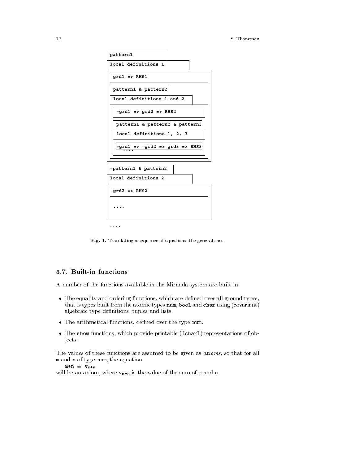

**- And - It contribution a sequence of education case modern as a** 

### 3.7. Built-in functions

A number of the functions available in the Miranda system are built-in:

- which are equality and ordering functions which are denoted over all grounds all ground  $\alpha$ that is types built from the atomic types number of a tomic the atomic theory ( ) is continued algebraic type denitions and lists and lists and lists
- the arithmetical functions of the type  $\mathbf{r}_i$  functions of the type  $\mathbf{r}_i$  functions of
- which show functions which provide printing to charge charges of observed and or jects

The values of these functions are assumed to be given as axioms so that for all m and a control type documption of the end of

mn - vmn

will be an axiom is the sum of the sum of the sum of the sum of  $\alpha$  and  $\alpha$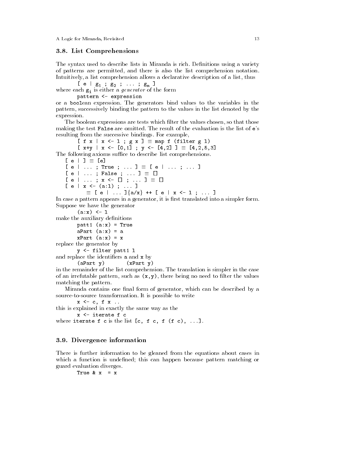#### -- List Comprehensions

The syntax used to describe lists in Miranda is rich. Definitions using a variety of patterns are permitted and and the list comprehension of the list comprehension and the list of the list of Intuitive a list comprehension and a declarative description of a list of an

 $\sim$  61, 62,  $\sim$  , 61  $\sim$ where each  $\mathbf{e}_1$  is efficient a generator of the form

pattern expression

or a boolean expression The generators bind values to the value in the value in the value of the values of the binding to the pattern the pattern to the pattern to the list the the second by the second by the pattern to t expression

The boolean expressions are tests which liter the values chosen to that those making the test false are only the test false are only the result of the substantial in the evaluation is the resulting from the successive bindings. For example,

 $+$  f x  $+$  x  $< \bot$  ; g x  $+$   $\equiv$  map f (filter g  $\bot$ )  $\lceil$  X + V  $\mid$  X <  $\sim$   $\lceil$   $\cup$  , 1  $\rfloor$  ; V <  $\sim$   $\lceil$   $\cdot$   $\mid$   $\lceil$   $\cdot$   $\rceil$   $\lceil$   $\lceil$   $\lceil$   $\lceil$   $\lceil$   $\lceil$   $\lceil$   $\lceil$   $\lceil$   $\lceil$   $\lceil$   $\lceil$   $\lceil$   $\lceil$   $\lceil$   $\lceil$   $\lceil$   $\lceil$   $\lceil$   $\lceil$   $\lceil$   $\lceil$ The following axioms suffice to describe list comprehensions. L e I J  $\equiv$  Le」 L e I ... ; Irue ; ... J  $\equiv$  L e I ... ; ... J <sup>e</sup> --- False --- - <sup>e</sup> --- <sup>x</sup> --- <sup>e</sup> <sup>x</sup> al ---  $\equiv$  [ e | ... ]{a/x} ++ [ e | x <- 1 ; ... ] In case a pattern appears in a generator in a simple in a simpler of the simple of the simple international tra Suppose we have the generator  $\sim$   $\sim$   $\sim$   $\sim$   $\sim$ make the auxiliary denitions patter (2000) **True 200** aPart ax <sup>a</sup> xPart ax <sup>x</sup> replace the generator byy filter pattern patterns in the set and replace the identifiers a control of the inter-(aPart y)  $(xPart y)$ in the remainder of the list comprehension The translation is simpler in the case

of was an extended patterns, watch we find to later we have no need to matter that the value matching the pattern

Miranda contains one nal form of generator which can be described by a source-to-source transformation. It is possible to write

. . . . . . . this is explained in exactly the same way as the

where  $\pm \sqrt{2}$  corrected  $\pm$  can the list control for  $\pm \sqrt{2}$  for  $\sqrt{2}$  for  $\sqrt{2}$ 

#### -- Divergence information

There's in the case into the definition of the global department and device and about cases in the total device which a function is undertained and the contraction or a common possible to the contract or the contract of th guard evaluation diverges.

True <sup>x</sup> x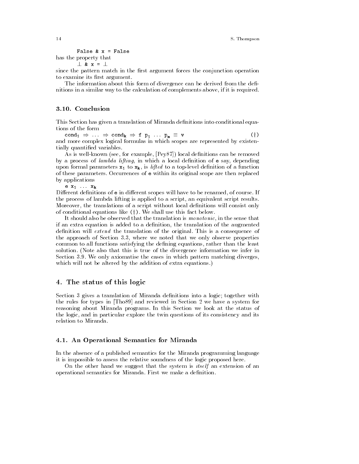False  $x = False$ has the property that

since the pattern match in the first argument forces the conjunction operation to examine its first argument.

The information about this form of divergence can be derived from the definitions in a simulation of calculation of complements above  $\mathbf i$ 

This Section has given a translation of Miranda definitions into conditional equations of the form

cond- condk f p- pm <sup>v</sup> y and more complex logical formulas in which scopes are represented by existen tially quantified variables.

as is well denited party and therefore, it is a parties can be removed to a street with by a process of lambda lifting in which a local denition of <sup>e</sup> say depending upon formal parameters  $\cdot$  , to  $\cdot$  , is the called to a terminent of a function of these parameters Occurrences of <sup>e</sup> within its original scope are then replaced by applications

e x- xk

Dierent denitions of <sup>e</sup> in dierent scopes will have to be renamed of course If the process of lambda lifting is applied to a script an equivalent script results Moreover the translations of a script without local denitions will consist only of conditional equations like  $(\dagger)$ . We shall use this fact below.

It should also be observed that the translation is monotonic in the sense that if an extra equation is added to a denition the translation of the augmented definition will *extend* the translation of the original. This is a consequence of the approach of Section where we noted that we only observe properties common to all functions satisfying the dening equations rather than the least solution. (Note also that this is true of the divergence information we infer in Section  $3.9$ . We only axiomatise the cases in which pattern matching diverges, which will not be altered by the addition of extra equations.)

#### - The status of this logic

Section gives a translation of Miranda denitions into a logic- together with the rules for types in [Tho89] and reviewed in Section 2 we have a system for reasoning about Miranda programs In this Section we look at the status of the logic and in particular explore the twin questions of its consistency and its relation to Miranda

#### -- An Operational Semantics for Miranda

In the absence of a published semantics for the Miranda programming language it is impossible to assess the relative soundness of the logic proposed here

On the other hand we suggest that the system is *itself* an extension of an operational semantics for Miranda. First we make a definition.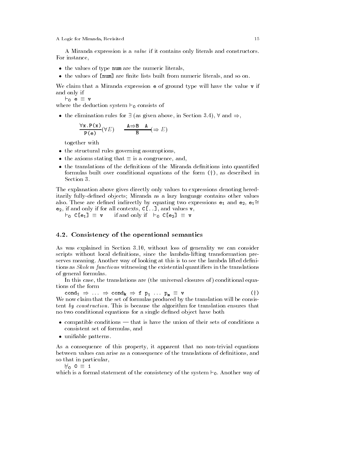A Miranda expression is a value if it contains only literals and constructors For instance

- the values of type num are the numeric literals
- the values of number  $\sim$  numbers built from numeric literature literals  $\sim$  on  $\sim$

We claim that a Miranda expression e of ground type will have the value v if and only if

 $\cdot$   $\cdot$   $\cdot$   $\cdot$   $\cdot$ 

where the deduction system  $\vdash_0$  consists of

the elimination rules for a given above the section of  $\mathcal{L}$  and  $\mathcal{L}$ 

$$
\frac{\forall x. P(x)}{P(e)} (\forall E) \qquad \frac{\mathbf{A} \Rightarrow \mathbf{B} \quad \mathbf{A}}{\mathbf{B}} (\Rightarrow E)
$$

together with

- the structure structure governing assumptions as
- the attention stating that is a complete that  $\mathbf{r}_1$
- $\bullet$  the translations of the definitions of the Miranda definitions into quantified formulas built over conditional equations of the form y as described in Section 3.

The explanation above gives directly only values to expressions denoting hered itarily fullydened objects- Miranda as a lazy language contains other values also. These are defined indirectly by equating two expressions  $e_1$  and  $e_2$ ,  $e_1 =$ es if and only if for all contexts values of and values of and values of all contexts values of and values of a

$$
\vdash_0 \mathsf{C[e_1]} \equiv \mathsf{v} \qquad \text{if and only if} \quad \vdash_0 \mathsf{C[e_2]} \equiv \mathsf{v}
$$

#### -- Consistency of the operational semantics

as we isplained in Section Section and the general  $\alpha$ stripts without it can denimite the lambdalifting transformation preserves meaning. Another way of looking at this is to see the lambda lifted definitions as *Skolem functions* witnessing the existential quantifiers in the translations of general formulas

In this case the translations are the universal closures of conditional equa tions of the form

condition is conditioned in the most of property of the condition of  $\mathbf{r}_1$  v y We now claim that the set of formulas produced by the translation will be consistent by construction. This is because the algorithm for translation ensures that no two conditional equations for a single defined object have both

- compatible conditions  $-$  that is have the union of their sets of conditions a consistent set of formulas and
- unifiable patterns.

as a consequence of this property it approach that no non-trivial equations between values can arise as a consequence of the translations of denitions and so that is not particularly in particular in the second  $\mathcal{L}_1$ 

70 - <del>-</del> -

which is a formal statement of the consistency of the system  $\vdash_0$ . Another way of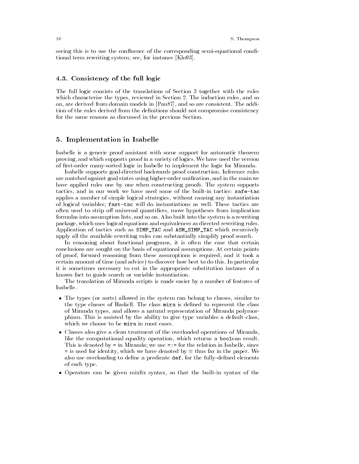seeing this is to use the confluence of the corresponding semi-equational conditional term rewriting system- see for instance Klo 

#### -- Consistency of the full logic

The full logic consists of the translations of Section 3 together with the rules which characterise the types the types of types in Section rules and society in Section rules and society in Section rules of the induction rules of the induction rules of the induction rules of the induction rules of the on, are derived from domain models in and so are consistent in Paulo and South The additional the additional tion of the rules derived from the denitions should not compromise consistency for the same reasons as discussed in the previous Section

#### - Implementation in Isabelle

Isabelle is a generic proof assistant with some support for automatic theorem proving which supports proving province the variety of logical weeks which we have used the version of first-order many-sorted logic in Isabelle to implement the logic for Miranda.

Isabelle supports goal-directed backwards proof construction. Inference rules are matched against goal states using higher trates units in the main weapons of  $\alpha$ have applied rules one by one when constructing proofs The system supports tactics and in our work we have used some of the builtin tactics safetac applies a number of simple logical strategies and strategies and strategies and strategies and strategies and of logical variables and  $\sim$ often used to strip our needs from quantiers, entire by protection exceptions in formulas into assumption lists and so on Also built into the system is a rewriting parameter logical equations and equations and equations are  $\Omega$ Application of tactics such as SIMP\_TAC and ASM\_SIMP\_TAC which recursively apply all the available rewriting rules can substantially simplify proof search

In reasoning about functional programs it is often the case that certain conclusions are sought on the basis of equational assumptions At certain points of proof forward reasoning from these assumptions is required and it took a certain amount of time (and advice) to discover how best to do this. In particular it is sometimes necessary to cut in the appropriate substitution instance of a known fact to guide search or variable instantiation

The translation of Miranda scripts is made easier by a number of features of Isabelle

- The types or sorts allowed in the system can belong to classes similar to the type classes of Haskell. The class mira is defined to represent the class of Miranda types and allows a natural representation of Miranda polymor phism. This is assisted by the ability to give type variables a default class, which we choose to be mira in most cases.
- Classes also give a clean treatment of the overloaded operations of Miranda like the computational equality operation which returns a boolean result This is denoted by in Miranda-Baranda-Baranda-Baranda-Baranda-Baranda-Baranda-Baranda-Baranda-Baranda-Barandais used for identity, which we have denoted by  $\frac{1}{2}$  cannot far in the paper We also use overloading to denime a predicate definition and redicate defining a second of each type
- Operators can be given miximize syntaxity at the built syntax of the built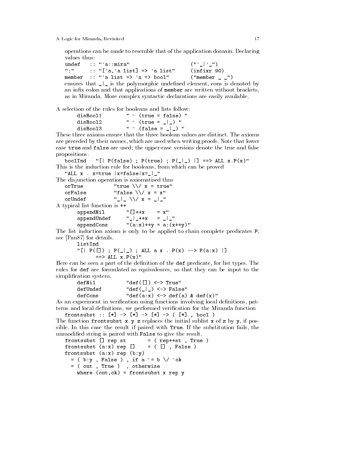operations can be made to resemble that of the application domain Declaring values thus

undef  $\cdots$  "'a::mira"  $(\cdots - |')^2$ ") ":"  $\therefore$  "['a,'a list] => 'a list" (infixr 90) member :: "'a list => 'a => bool" ("member  $\Box$ ") ensures that is the polymorphic undened element cons is denoted by an infix colon and that applications of member are written without brackets, as in Miranda More complex syntactic declarations are easily available

A selection of the rules for booleans and lists follow

| disBool1  | " $\sim$ (true = false) "        |
|-----------|----------------------------------|
| disBool2. | $"$ $\sim$ (true = $ $ ) "       |
| disBool3  | " ~ (false = $\vert \ \vert$ ) " |

These three axioms ensure that the three boolean values are distinct. The axioms are preceded by their names which are used when when writing proofs note that lower that lower case true and false are used- the uppercase versions denote the true and false propositions

booling is a particle of the problem of the particle in the particle of the particle in the particle in the par This is the induction rule for booleans from which can be proved

ALL x - xtrue xfalsex

The disjunction operation is axiomatised thus orTrue "true  $\setminus\setminus x =$  true" orFalse  $\forall x = x$ "  $x = x$ " orUndef  $''_{-}|_{-}\setminus\setminus/|x| = |_{-}$ " A typical list function is  $appendNil$   $"[]++x$  $= x<sup>0</sup>$  $appendUnder$   $"$   $|$   $+ x$  =  $|$   $|$   $|$ appendCons  $(ax)$ ++y = a: $(x$ ++y)"

The list induction axiom is only to be applied to chain complete predicates P see [Pau87] for details.

listInd

 P P ALL a x - Px ! Pax ! ALL x-Px

Here can be seen a part of the denition of the def predicate for list types The rules for definition as equivalences as equivalences as the input to the input to the simplification system.

| defNil   | "def $(\lceil \cdot \rceil)$ <-> True"      |  |
|----------|---------------------------------------------|--|
| defUndef | "def $($ $ $ $)$ $\le$ $\rightarrow$ False" |  |
| defCons  | "def $(a:x)$ <-> def $(a)$ & def $(x)$ "    |  |
|          |                                             |  |

As an experiment in verication using functions involving local denitions pat terns and local denitions we performed verication for the Miranda function frontsubst ::  $[*] \rightarrow [*] \rightarrow [*] \rightarrow [*] \rightarrow ( [*] \text{, bool})$ 

The function frontsubst x y z replaces the initial sublist x of z by y if pos sible In this case the result if paired with True If the substitution fails the unmodified string is paired with False to give the result.

frontsubst  $[]$  rep st = (rep++st, True) frontsubst  $(a:x)$  rep  $[]$  =  $([]$ , False) frontsubst  $(a:x)$  rep  $(b:y)$ by the second contract of the second contract of the second contract of the second contract of the second contract of the second contract of the second contract of the second contract of the second contract of the second c = ( out , True ) , otherwise where  $(out, ok)$  = frontsubst x rep y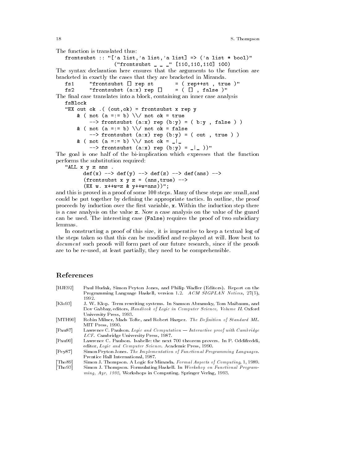18 S. Thompson

The function is translated thus

```
frontsubst :: "['a list,'a list,'a list] => ('a list * bool)"
                ("frontsubst _ - _ " [110, 110, 110] 100)
```
The syntax declaration here ensures that the arguments to the function are bracketed in exactly the cases that they are bracketed in Miranda

```
fs1"frontsubst [] rep st = (rep++st, true)"
  fs2
           "frontsubst (ax) rep [] = ([ ], false)"
The nal case translates into a block
 containing an inner case analysis
  fsBlock
   EX out ok -
 outok  frontsubst x rep y
       & ( not (a =:= b) \setminus\setminus not ok = true
           \rightarrow frontsubst (ax) rep (b:y) = (b:y, false))
       & (not (a =:= b) \setminus not ok = false
           \rightarrow frontsubst (a:x) rep (b:y) = ( out , true ) )
       & ( not (a =:= b) \\/ not ok = \vert\rightarrow frontsubst (a:x) rep (b:y) = \vert \vert ))"
```
The goal is one half of the biimplication which expresses that the function performs the substitution required

```
"ALL x y z ans .
         def(x) \longrightarrow def(y) \longrightarrow def(z) \longrightarrow def(ans) \longrightarrow(frontsubst x y z = (ans, true) -->
```
EX w- xwz ywans

and this is proved in a proof of a property was property in a property of the step of the step and the steps are small could be put together by dening the appropriate tactics In outline the proof proceeds by induction over the meet terminal in the right the meeting coop there is a case analysis on the value z Now a case analysis on the value of the guard case of used the interesting case in the production and proof of two subsidiary reports the subsidiary of lemmas

In constructing a proof of this size, it is imperative to heep a tentally for  $\sigma$ the steps taken so that this can be modified and re-played at will. How best to as such part is a proof with the part of our future research part of the proofs with the proofs with the proof are to be reused and to be reuse particles in the comprehensible comprehensible comprehensible comprehensible

#### References

- HJE Paul Hudak Simon Peyton Jones and Philip Wadler -Editors Report on the Programming Language Haskell version  ACM SIGPLAN Notices 
- 1992.
- [Klo93] J. W. Klop. Term rewriting systems. In Samson Abramsky, Tom Maibaum, and Dov Gabbay, editors, Handbook of Logic in Computer Science, Volume II. Oxford University Press, 1993. University Press
- [MTH90] Robin Milner, Mads Tofte, and Robert Harper. The Definition of Standard ML. man e e esse, e e e e .
- [Pau87] Lawrence C. Paulson. Logic and Computation Interactive proof with Cambridge  $LCF$ . Cambridge University Press, 1987.
- [Pau90] Lawrence C Paulson Isabelle the next theorem provers In P Oddifreddi editor Logic and Computer Science Academic Press
- [Pey87] Simon Peyton Jones. The Implementation of Functional Programming Languages. Prentice Hall International, 1987.

[Tho 89] Simon J. Thompson. A Logic for Miranda. Formal Aspects of Computing, 1, 1989. [Tho 93] Simon J. Thompson. Formulating Haskell. In Workshop on Functional Program $ming, \, Ayr, \, 1992, \, Workshops in Computing. Springer Verlag, 1993.$